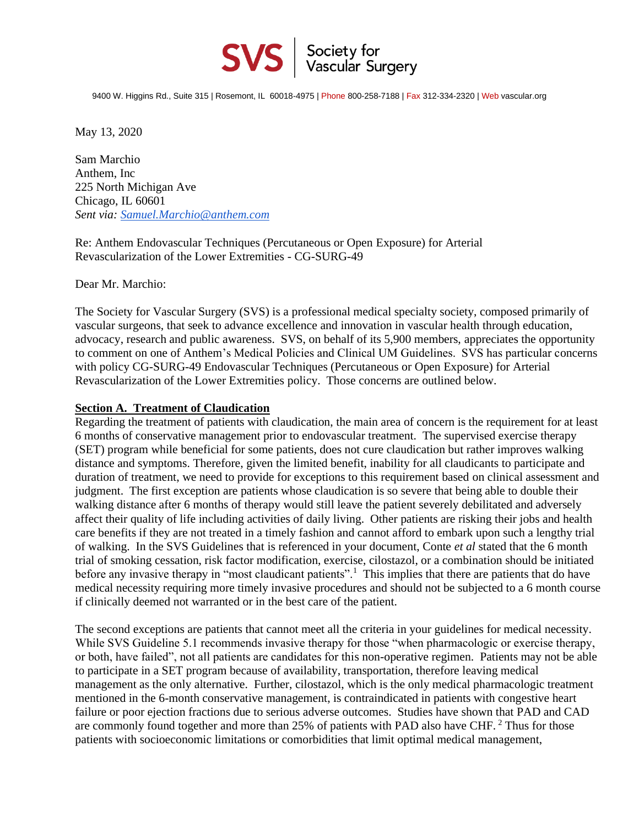

9400 W. Higgins Rd., Suite 315 | Rosemont, IL 60018-4975 | Phone 800-258-7188 | Fax 312-334-2320 | Web vascular.org

May 13, 2020

Sam Marchio Anthem, Inc 225 North Michigan Ave Chicago, IL 60601 *Sent via: [Samuel.Marchio@anthem.com](mailto:Samuel.Marchio@anthem.com)*

Re: Anthem Endovascular Techniques (Percutaneous or Open Exposure) for Arterial Revascularization of the Lower Extremities - CG-SURG-49

Dear Mr. Marchio:

The Society for Vascular Surgery (SVS) is a professional medical specialty society, composed primarily of vascular surgeons, that seek to advance excellence and innovation in vascular health through education, advocacy, research and public awareness. SVS, on behalf of its 5,900 members, appreciates the opportunity to comment on one of Anthem's Medical Policies and Clinical UM Guidelines. SVS has particular concerns with policy CG-SURG-49 Endovascular Techniques (Percutaneous or Open Exposure) for Arterial Revascularization of the Lower Extremities policy. Those concerns are outlined below.

## **Section A. Treatment of Claudication**

Regarding the treatment of patients with claudication, the main area of concern is the requirement for at least 6 months of conservative management prior to endovascular treatment. The supervised exercise therapy (SET) program while beneficial for some patients, does not cure claudication but rather improves walking distance and symptoms. Therefore, given the limited benefit, inability for all claudicants to participate and duration of treatment, we need to provide for exceptions to this requirement based on clinical assessment and judgment. The first exception are patients whose claudication is so severe that being able to double their walking distance after 6 months of therapy would still leave the patient severely debilitated and adversely affect their quality of life including activities of daily living. Other patients are risking their jobs and health care benefits if they are not treated in a timely fashion and cannot afford to embark upon such a lengthy trial of walking. In the SVS Guidelines that is referenced in your document, Conte *et al* stated that the 6 month trial of smoking cessation, risk factor modification, exercise, cilostazol, or a combination should be initiated before any invasive therapy in "most claudicant patients".<sup>1</sup> This implies that there are patients that do have medical necessity requiring more timely invasive procedures and should not be subjected to a 6 month course if clinically deemed not warranted or in the best care of the patient.

The second exceptions are patients that cannot meet all the criteria in your guidelines for medical necessity. While SVS Guideline 5.1 recommends invasive therapy for those "when pharmacologic or exercise therapy, or both, have failed", not all patients are candidates for this non-operative regimen. Patients may not be able to participate in a SET program because of availability, transportation, therefore leaving medical management as the only alternative. Further, cilostazol, which is the only medical pharmacologic treatment mentioned in the 6-month conservative management, is contraindicated in patients with congestive heart failure or poor ejection fractions due to serious adverse outcomes. Studies have shown that PAD and CAD are commonly found together and more than 25% of patients with PAD also have CHF. <sup>2</sup> Thus for those patients with socioeconomic limitations or comorbidities that limit optimal medical management,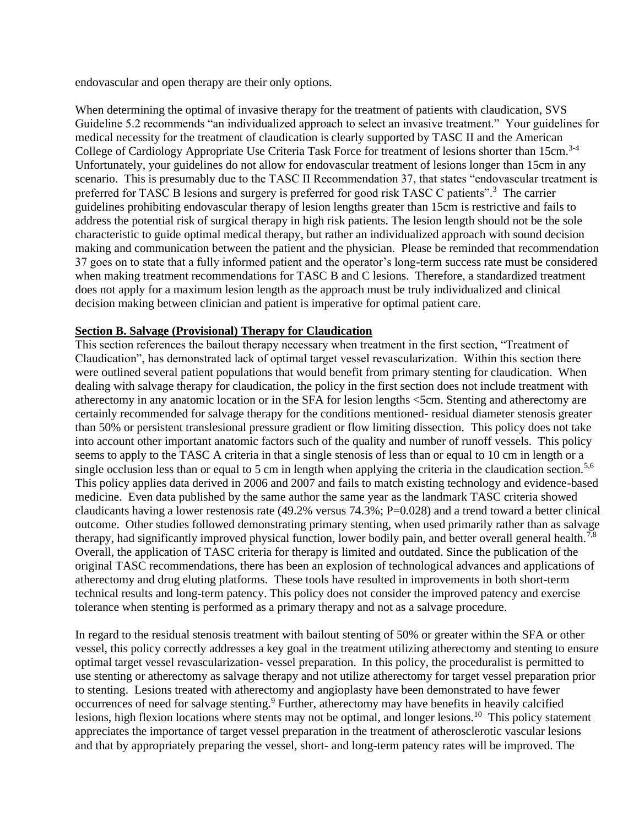endovascular and open therapy are their only options.

When determining the optimal of invasive therapy for the treatment of patients with claudication, SVS Guideline 5.2 recommends "an individualized approach to select an invasive treatment." Your guidelines for medical necessity for the treatment of claudication is clearly supported by TASC II and the American College of Cardiology Appropriate Use Criteria Task Force for treatment of lesions shorter than 15cm.<sup>3-4</sup> Unfortunately, your guidelines do not allow for endovascular treatment of lesions longer than 15cm in any scenario. This is presumably due to the TASC II Recommendation 37, that states "endovascular treatment is preferred for TASC B lesions and surgery is preferred for good risk TASC C patients".<sup>3</sup> The carrier guidelines prohibiting endovascular therapy of lesion lengths greater than 15cm is restrictive and fails to address the potential risk of surgical therapy in high risk patients. The lesion length should not be the sole characteristic to guide optimal medical therapy, but rather an individualized approach with sound decision making and communication between the patient and the physician. Please be reminded that recommendation 37 goes on to state that a fully informed patient and the operator's long-term success rate must be considered when making treatment recommendations for TASC B and C lesions. Therefore, a standardized treatment does not apply for a maximum lesion length as the approach must be truly individualized and clinical decision making between clinician and patient is imperative for optimal patient care.

## **Section B. Salvage (Provisional) Therapy for Claudication**

This section references the bailout therapy necessary when treatment in the first section, "Treatment of Claudication", has demonstrated lack of optimal target vessel revascularization. Within this section there were outlined several patient populations that would benefit from primary stenting for claudication. When dealing with salvage therapy for claudication, the policy in the first section does not include treatment with atherectomy in any anatomic location or in the SFA for lesion lengths <5cm. Stenting and atherectomy are certainly recommended for salvage therapy for the conditions mentioned- residual diameter stenosis greater than 50% or persistent translesional pressure gradient or flow limiting dissection. This policy does not take into account other important anatomic factors such of the quality and number of runoff vessels. This policy seems to apply to the TASC A criteria in that a single stenosis of less than or equal to 10 cm in length or a single occlusion less than or equal to 5 cm in length when applying the criteria in the claudication section.<sup>5,6</sup> This policy applies data derived in 2006 and 2007 and fails to match existing technology and evidence-based medicine. Even data published by the same author the same year as the landmark TASC criteria showed claudicants having a lower restenosis rate (49.2% versus  $74.3\%$ ; P=0.028) and a trend toward a better clinical outcome. Other studies followed demonstrating primary stenting, when used primarily rather than as salvage therapy, had significantly improved physical function, lower bodily pain, and better overall general health.<sup>7,8</sup> Overall, the application of TASC criteria for therapy is limited and outdated. Since the publication of the original TASC recommendations, there has been an explosion of technological advances and applications of atherectomy and drug eluting platforms. These tools have resulted in improvements in both short-term technical results and long-term patency. This policy does not consider the improved patency and exercise tolerance when stenting is performed as a primary therapy and not as a salvage procedure.

In regard to the residual stenosis treatment with bailout stenting of 50% or greater within the SFA or other vessel, this policy correctly addresses a key goal in the treatment utilizing atherectomy and stenting to ensure optimal target vessel revascularization- vessel preparation. In this policy, the proceduralist is permitted to use stenting or atherectomy as salvage therapy and not utilize atherectomy for target vessel preparation prior to stenting. Lesions treated with atherectomy and angioplasty have been demonstrated to have fewer occurrences of need for salvage stenting.<sup>9</sup> Further, atherectomy may have benefits in heavily calcified lesions, high flexion locations where stents may not be optimal, and longer lesions.<sup>10</sup> This policy statement appreciates the importance of target vessel preparation in the treatment of atherosclerotic vascular lesions and that by appropriately preparing the vessel, short- and long-term patency rates will be improved. The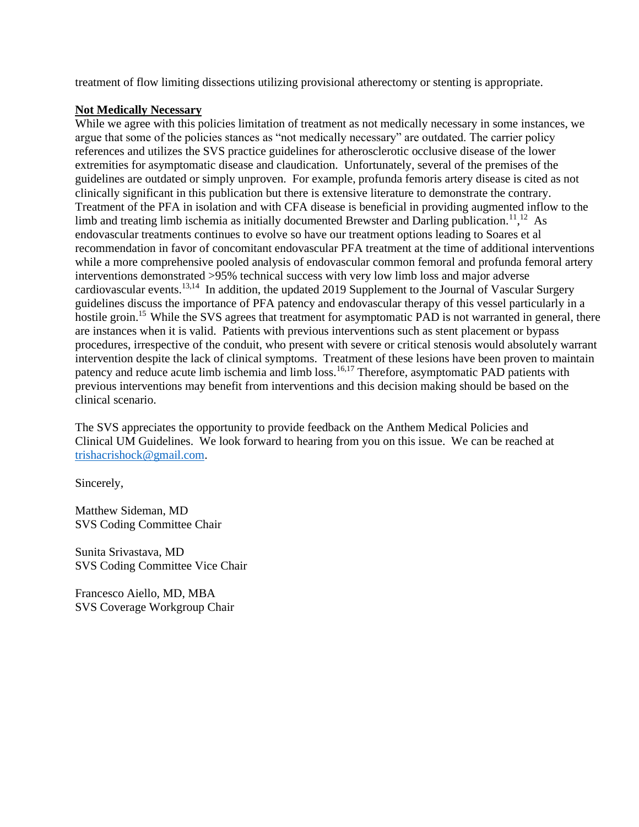treatment of flow limiting dissections utilizing provisional atherectomy or stenting is appropriate.

## **Not Medically Necessary**

While we agree with this policies limitation of treatment as not medically necessary in some instances, we argue that some of the policies stances as "not medically necessary" are outdated. The carrier policy references and utilizes the SVS practice guidelines for atherosclerotic occlusive disease of the lower extremities for asymptomatic disease and claudication. Unfortunately, several of the premises of the guidelines are outdated or simply unproven. For example, profunda femoris artery disease is cited as not clinically significant in this publication but there is extensive literature to demonstrate the contrary. Treatment of the PFA in isolation and with CFA disease is beneficial in providing augmented inflow to the limb and treating limb ischemia as initially documented Brewster and Darling publication.<sup>11</sup>,<sup>12</sup> As endovascular treatments continues to evolve so have our treatment options leading to Soares et al recommendation in favor of concomitant endovascular PFA treatment at the time of additional interventions while a more comprehensive pooled analysis of endovascular common femoral and profunda femoral artery interventions demonstrated >95% technical success with very low limb loss and major adverse cardiovascular events.<sup>13,14</sup> In addition, the updated 2019 Supplement to the Journal of Vascular Surgery guidelines discuss the importance of PFA patency and endovascular therapy of this vessel particularly in a hostile groin.<sup>15</sup> While the SVS agrees that treatment for asymptomatic PAD is not warranted in general, there are instances when it is valid. Patients with previous interventions such as stent placement or bypass procedures, irrespective of the conduit, who present with severe or critical stenosis would absolutely warrant intervention despite the lack of clinical symptoms. Treatment of these lesions have been proven to maintain patency and reduce acute limb ischemia and limb loss.<sup>16,17</sup> Therefore, asymptomatic PAD patients with previous interventions may benefit from interventions and this decision making should be based on the clinical scenario.

The SVS appreciates the opportunity to provide feedback on the Anthem Medical Policies and Clinical UM Guidelines. We look forward to hearing from you on this issue. We can be reached at [trishacrishock@gmail.com.](mailto:trishacrishock@gmail.com)

Sincerely,

Matthew Sideman, MD SVS Coding Committee Chair

Sunita Srivastava, MD SVS Coding Committee Vice Chair

Francesco Aiello, MD, MBA SVS Coverage Workgroup Chair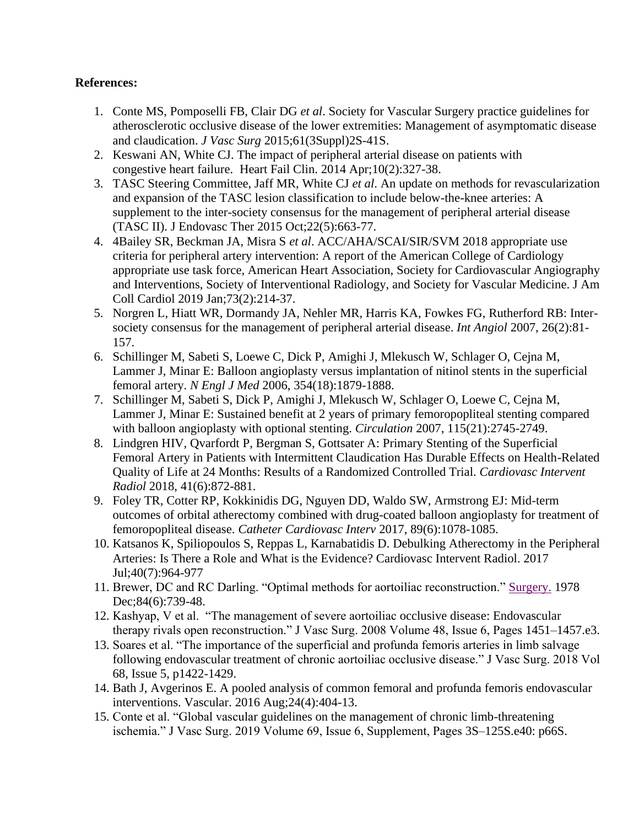## **References:**

- 1. Conte MS, Pomposelli FB, Clair DG *et al*. Society for Vascular Surgery practice guidelines for atherosclerotic occlusive disease of the lower extremities: Management of asymptomatic disease and claudication. *J Vasc Surg* 2015;61(3Suppl)2S-41S.
- 2. [Keswani AN,](https://www.ncbi.nlm.nih.gov/pubmed/?t) White CJ. The impact of peripheral arterial disease on patients with congestive heart failure. Heart [Fail Clin.](https://www.ncbi.nlm.nih.gov/pubmed/24656109%22%20%5Co%20%22Heart%20failure%20clinics.) 2014 Apr;10(2):327-38.
- 3. TASC Steering Committee, Jaff MR, White CJ *et al*. An update on methods for revascularization and expansion of the TASC lesion classification to include below-the-knee arteries: A supplement to the inter-society consensus for the management of peripheral arterial disease (TASC II). J Endovasc Ther 2015 Oct;22(5):663-77.
- 4. 4Bailey SR, Beckman JA, Misra S *et al*. ACC/AHA/SCAI/SIR/SVM 2018 appropriate use criteria for peripheral artery intervention: A report of the American College of Cardiology appropriate use task force, American Heart Association, Society for Cardiovascular Angiography and Interventions, Society of Interventional Radiology, and Society for Vascular Medicine. J Am Coll Cardiol 2019 Jan;73(2):214-37.
- 5. Norgren L, Hiatt WR, Dormandy JA, Nehler MR, Harris KA, Fowkes FG, Rutherford RB: Intersociety consensus for the management of peripheral arterial disease. *Int Angiol* 2007, 26(2):81- 157.
- 6. Schillinger M, Sabeti S, Loewe C, Dick P, Amighi J, Mlekusch W, Schlager O, Cejna M, Lammer J, Minar E: Balloon angioplasty versus implantation of nitinol stents in the superficial femoral artery. *N Engl J Med* 2006, 354(18):1879-1888.
- 7. Schillinger M, Sabeti S, Dick P, Amighi J, Mlekusch W, Schlager O, Loewe C, Cejna M, Lammer J, Minar E: Sustained benefit at 2 years of primary femoropopliteal stenting compared with balloon angioplasty with optional stenting. *Circulation* 2007, 115(21):2745-2749.
- 8. Lindgren HIV, Qvarfordt P, Bergman S, Gottsater A: Primary Stenting of the Superficial Femoral Artery in Patients with Intermittent Claudication Has Durable Effects on Health-Related Quality of Life at 24 Months: Results of a Randomized Controlled Trial. *Cardiovasc Intervent Radiol* 2018, 41(6):872-881.
- 9. Foley TR, Cotter RP, Kokkinidis DG, Nguyen DD, Waldo SW, Armstrong EJ: Mid-term outcomes of orbital atherectomy combined with drug-coated balloon angioplasty for treatment of femoropopliteal disease. *Catheter Cardiovasc Interv* 2017, 89(6):1078-1085.
- 10. Katsanos K, Spiliopoulos S, Reppas L, Karnabatidis D. Debulking Atherectomy in the Peripheral Arteries: Is There a Role and What is the Evidence? Cardiovasc Intervent Radiol. 2017 Jul;40(7):964-977
- 11. Brewer, DC and RC Darling. "Optimal methods for aortoiliac reconstruction." [Surgery.](https://www.ncbi.nlm.nih.gov/pubmed/152480%22%20%5Co%20%22Surgery.) 1978 Dec;84(6):739-48.
- 12. Kashyap, V et al. "The management of severe aortoiliac occlusive disease: Endovascular therapy rivals open reconstruction." J Vasc Surg. 2008 Volume 48, Issue 6, Pages 1451–1457.e3.
- 13. Soares et al. "The importance of the superficial and profunda femoris arteries in limb salvage following endovascular treatment of chronic aortoiliac occlusive disease." J Vasc Surg. 2018 Vol 68, Issue 5, p1422-1429.
- 14. Bath J, Avgerinos E. A pooled analysis of common femoral and profunda femoris endovascular interventions. Vascular. 2016 Aug;24(4):404-13.
- 15. Conte et al. "Global vascular guidelines on the management of chronic limb-threatening ischemia." J Vasc Surg. 2019 Volume 69, Issue 6, Supplement, Pages 3S–125S.e40: p66S.